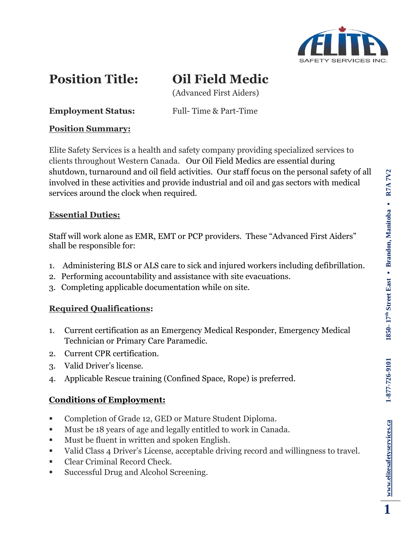

# **Position Title: Oil Field Medic**

(Advanced First Aiders)

**Employment Status:** Full-Time & Part-Time

#### **Position Summary:**

Elite Safety Services is a health and safety company providing specialized services to clients throughout Western Canada. Our Oil Field Medics are essential during shutdown, turnaround and oil field activities. Our staff focus on the personal safety of all involved in these activities and provide industrial and oil and gas sectors with medical services around the clock when required.

#### **Essential Duties:**

Staff will work alone as EMR, EMT or PCP providers. These "Advanced First Aiders" shall be responsible for:

- 1. Administering BLS or ALS care to sick and injured workers including defibrillation.
- 2. Performing accountability and assistance with site evacuations.
- 3. Completing applicable documentation while on site.

### **Required Qualifications:**

- 1. Current certification as an Emergency Medical Responder, Emergency Medical Technician or Primary Care Paramedic.
- 2. Current CPR certification.
- 3. Valid Driver's license.
- 4. Applicable Rescue training (Confined Space, Rope) is preferred.

## **Conditions of Employment:**

- Completion of Grade 12, GED or Mature Student Diploma.
- Must be 18 years of age and legally entitled to work in Canada.
- Must be fluent in written and spoken English.
- Valid Class 4 Driver's License, acceptable driving record and willingness to travel.
- Clear Criminal Record Check.
- Successful Drug and Alcohol Screening.